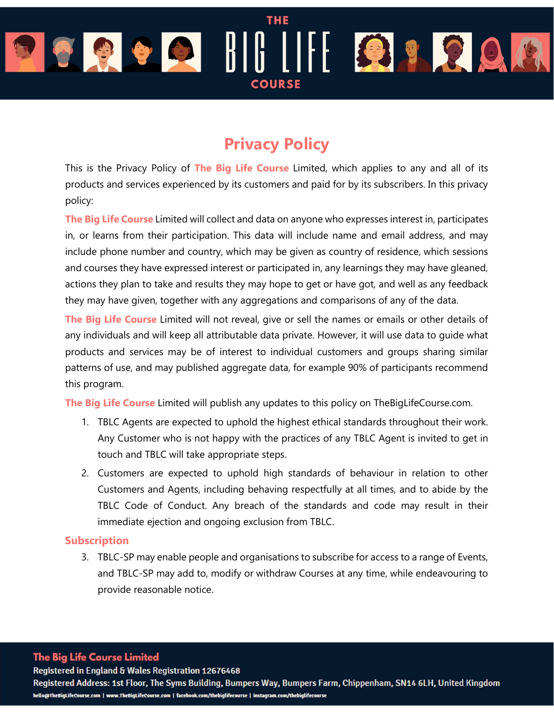# **THE** OBODIII BROA **COURSE**

# Privacy Policy

This is the Privacy Policy of The Big Life Course Limited, which applies to any and all of its products and services experienced by its customers and paid for by its subscribers. In this privacy policy:

The Big Life Course Limited will collect and data on anyone who expresses interest in, participates in, or learns from their participation. This data will include name and email address, and may include phone number and country, which may be given as country of residence, which sessions and courses they have expressed interest or participated in, any learnings they may have gleaned, actions they plan to take and results they may hope to get or have got, and well as any feedback they may have given, together with any aggregations and comparisons of any of the data.

The Big Life Course Limited will not reveal, give or sell the names or emails or other details of any individuals and will keep all attributable data private. However, it will use data to guide what products and services may be of interest to individual customers and groups sharing similar patterns of use, and may published aggregate data, for example 90% of participants recommend this program.

The Big Life Course Limited will publish any updates to this policy on The Big LifeCourse.com.

- 1. TBLC Agents are expected to uphold the highest ethical standards throughout their work. Any Customer who is not happy with the practices of any TBLC Agent is invited to get in touch and TBLC will take appropriate steps.
- 2. Customers are expected to uphold high standards of behaviour in relation to other Customers and Agents, including behaving respectfully at all times, and to abide by the TBLC Code of Conduct. Any breach of the standards and code may result in their immediate ejection and ongoing exclusion from TBLC.

# Subscription

3. TBLC-SP may enable people and organisations to subscribe for access to a range of Events, and TBLC-SP may add to, modify or withdraw Courses at any time, while endeavouring to provide reasonable notice.

**The Big Life Course Limited** 

Registered in England & Wales Registration 12676468

Registered Address: 1st Floor, The Syms Building, Bumpers Way, Bumpers Farm, Chippenham, SN14 6LH, United Kingdom hello@TheBigLifeCourse.com | www.TheBigLifeCourse.com | facebook.com/thebiglifecourse | instagram.com/thebiglifecourse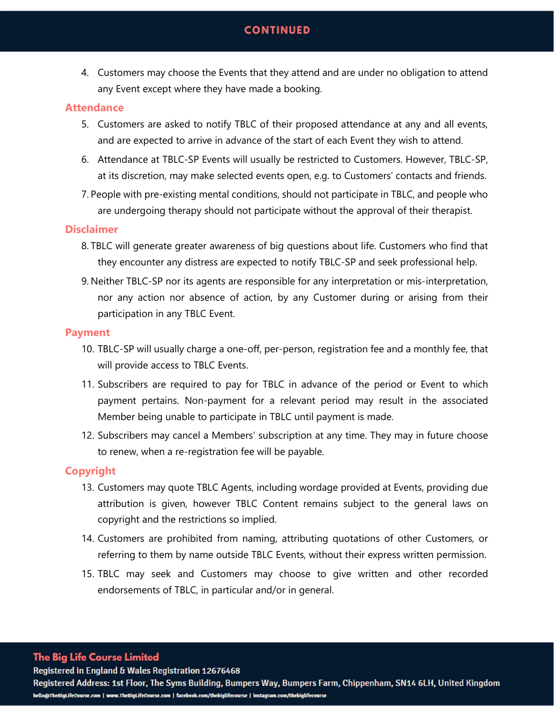# **CONTINUED**

4. Customers may choose the Events that they attend and are under no obligation to attend any Event except where they have made a booking.

# **Attendance**

- 5. Customers are asked to notify TBLC of their proposed attendance at any and all events, and are expected to arrive in advance of the start of each Event they wish to attend.
- 6. Attendance at TBLC-SP Events will usually be restricted to Customers. However, TBLC-SP, at its discretion, may make selected events open, e.g. to Customers' contacts and friends.
- 7. People with pre-existing mental conditions, should not participate in TBLC, and people who are undergoing therapy should not participate without the approval of their therapist.

# **Disclaimer**

- 8. TBLC will generate greater awareness of big questions about life. Customers who find that they encounter any distress are expected to notify TBLC-SP and seek professional help.
- 9. Neither TBLC-SP nor its agents are responsible for any interpretation or mis-interpretation, nor any action nor absence of action, by any Customer during or arising from their participation in any TBLC Event.

### Payment

- 10. TBLC-SP will usually charge a one-off, per-person, registration fee and a monthly fee, that will provide access to TBLC Events.
- 11. Subscribers are required to pay for TBLC in advance of the period or Event to which payment pertains. Non-payment for a relevant period may result in the associated Member being unable to participate in TBLC until payment is made.
- 12. Subscribers may cancel a Members' subscription at any time. They may in future choose to renew, when a re-registration fee will be payable.

# Copyright

- 13. Customers may quote TBLC Agents, including wordage provided at Events, providing due attribution is given, however TBLC Content remains subject to the general laws on copyright and the restrictions so implied.
- 14. Customers are prohibited from naming, attributing quotations of other Customers, or referring to them by name outside TBLC Events, without their express written permission.
- 15. TBLC may seek and Customers may choose to give written and other recorded endorsements of TBLC, in particular and/or in general.

### **The Big Life Course Limited**

Registered in England & Wales Registration 12676468

Registered Address: 1st Floor, The Syms Building, Bumpers Way, Bumpers Farm, Chippenham, SN14 6LH, United Kingdom hello@TheBigLifeCourse.com | www.TheBigLifeCourse.com | facebook.com/thebiglifecourse | instagram.com/thebiglifecourse